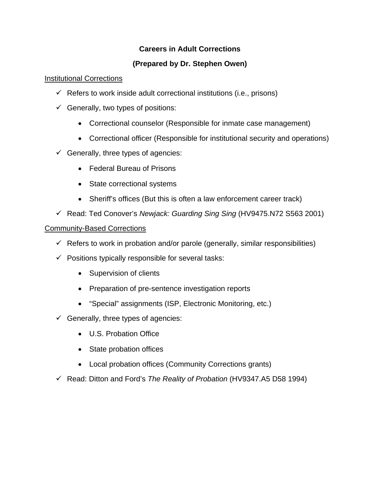## **Careers in Adult Corrections**

# **(Prepared by Dr. Stephen Owen)**

## Institutional Corrections

- $\checkmark$  Refers to work inside adult correctional institutions (i.e., prisons)
- $\checkmark$  Generally, two types of positions:
	- Correctional counselor (Responsible for inmate case management)
	- Correctional officer (Responsible for institutional security and operations)
- $\checkmark$  Generally, three types of agencies:
	- Federal Bureau of Prisons
	- State correctional systems
	- Sheriff's offices (But this is often a law enforcement career track)
- 9 Read: Ted Conover's *Newjack: Guarding Sing Sing* (HV9475.N72 S563 2001)

#### Community-Based Corrections

- $\checkmark$  Refers to work in probation and/or parole (generally, similar responsibilities)
- $\checkmark$  Positions typically responsible for several tasks:
	- Supervision of clients
	- Preparation of pre-sentence investigation reports
	- "Special" assignments (ISP, Electronic Monitoring, etc.)
- $\checkmark$  Generally, three types of agencies:
	- U.S. Probation Office
	- State probation offices
	- Local probation offices (Community Corrections grants)
- 9 Read: Ditton and Ford's *The Reality of Probation* (HV9347.A5 D58 1994)